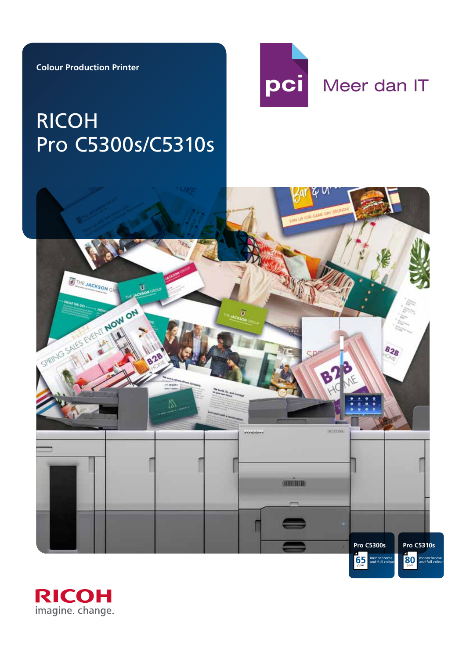**Colour Production Printer**



## RICOH Pro C5300s/C5310s



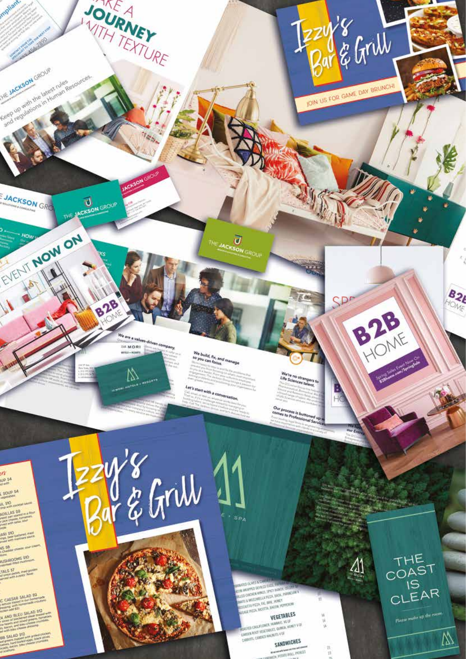

C CAESAR SALAD SO system and \$15<br>W. AND BLEU SALAD SN2<br>W. AND BLEU SALAD SN8<br>The sales and most present consider

ed with AD \$12<br>(88 SA) AD \$12<br>ed www.nated load with black street<br>ed www.nated boxes there there are

VEGETABLES CARRIER CARRIER WARREN AS DE CARRIER POST VIDEO MARITI DE CARRIER POST VIDEO MARITI DE SANDWICHES

WWW.POLICE SOLL PICKET

1A

 $\frac{11}{13}$ 



 $\mathbb{W}$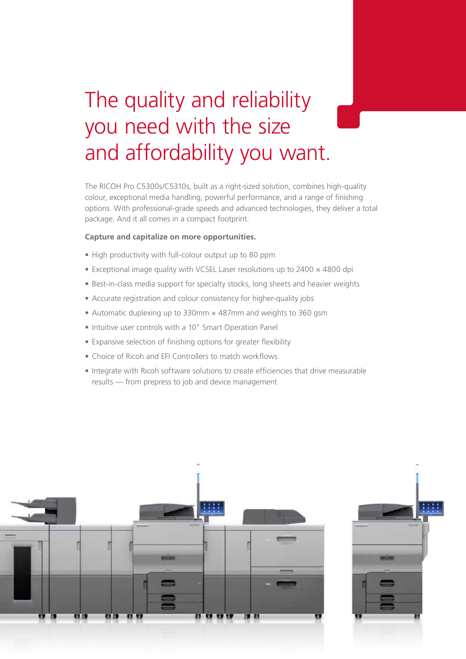## The quality and reliability you need with the size and affordability you want.

The RICOH Pro C5300s/C5310s, built as a right-sized solution, combines high-quality colour, exceptional media handling, powerful performance, and a range of finishing options. With professional-grade speeds and advanced technologies, they deliver a total package. And it all comes in a compact footprint.

#### **Capture and capitalize on more opportunities.**

- High productivity with full-colour output up to 80 ppm
- Exceptional image quality with VCSEL Laser resolutions up to 2400 x 4800 dpi
- Best-in-class media support for specialty stocks, long sheets and heavier weights
- Accurate registration and colour consistency for higher-quality jobs
- Automatic duplexing up to 330mm x 487mm and weights to 360 gsm
- Intuitive user controls with a 10" Smart Operation Panel
- Expansive selection of finishing options for greater flexibility
- Choice of Ricoh and EFI Controllers to match workflows
- Integrate with Ricoh software solutions to create efficiencies that drive measurable results — from prepress to job and device management

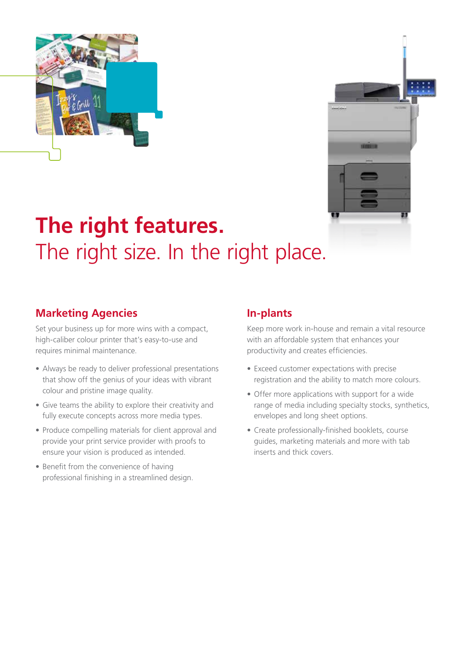



# **The right features.** The right size. In the right place.

### **Marketing Agencies**

Set your business up for more wins with a compact, high-caliber colour printer that's easy-to-use and requires minimal maintenance.

- Always be ready to deliver professional presentations that show off the genius of your ideas with vibrant colour and pristine image quality.
- Give teams the ability to explore their creativity and fully execute concepts across more media types.
- Produce compelling materials for client approval and provide your print service provider with proofs to ensure your vision is produced as intended.
- Benefit from the convenience of having professional finishing in a streamlined design.

### **In-plants**

Keep more work in-house and remain a vital resource with an affordable system that enhances your productivity and creates efficiencies.

- Exceed customer expectations with precise registration and the ability to match more colours.
- Offer more applications with support for a wide range of media including specialty stocks, synthetics, envelopes and long sheet options.
- Create professionally-finished booklets, course guides, marketing materials and more with tab inserts and thick covers.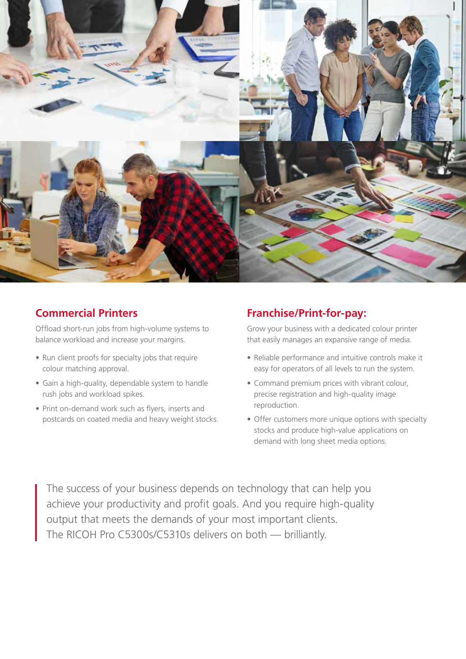

#### **Commercial Printers**

Offload short-run jobs from high-volume systems to balance workload and increase your margins.

- Run client proofs for specialty jobs that require colour matching approval.
- Gain a high-quality, dependable system to handle rush jobs and workload spikes.
- Print on-demand work such as flyers, inserts and postcards on coated media and heavy weight stocks.

#### **Franchise/Print-for-pay:**

Grow your business with a dedicated colour printer that easily manages an expansive range of media.

- Reliable performance and intuitive controls make it easy for operators of all levels to run the system.
- Command premium prices with vibrant colour, precise registration and high-quality image reproduction.
- Offer customers more unique options with specialty stocks and produce high-value applications on demand with long sheet media options.

The success of your business depends on technology that can help you achieve your productivity and profit goals. And you require high-quality output that meets the demands of your most important clients. The RICOH Pro C5300s/C5310s delivers on both — brilliantly.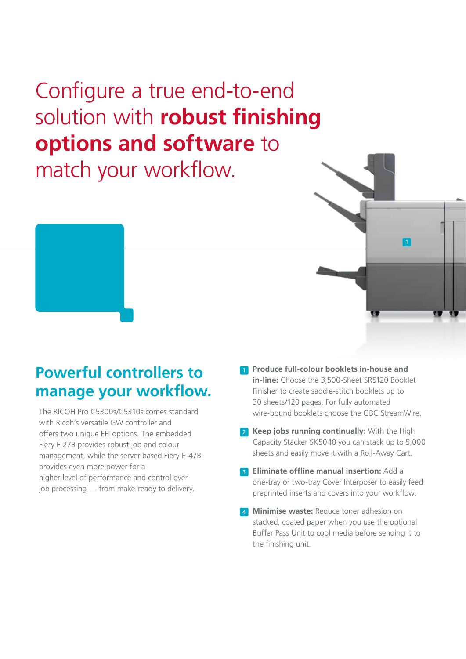# Configure a true end-to-end solution with **robust finishing options and software** to

match your workflow.

### **Powerful controllers to manage your workflow.**

The RICOH Pro C5300s/C5310s comes standard with Ricoh's versatile GW controller and offers two unique EFI options. The embedded Fiery E-27B provides robust job and colour management, while the server based Fiery E-47B provides even more power for a higher-level of performance and control over job processing — from make-ready to delivery.

1 **Produce full-colour booklets in-house and in-line:** Choose the 3,500-Sheet SR5120 Booklet Finisher to create saddle-stitch booklets up to 30 sheets/120 pages. For fully automated wire-bound booklets choose the GBC StreamWire.

 $\overline{1}$ 

- **Keep jobs running continually:** With the High Capacity Stacker SK5040 you can stack up to 5,000 sheets and easily move it with a Roll-Away Cart.
- 3 **Eliminate offline manual insertion:** Add a one-tray or two-tray Cover Interposer to easily feed preprinted inserts and covers into your workflow.
- 4 **Minimise waste:** Reduce toner adhesion on stacked, coated paper when you use the optional Buffer Pass Unit to cool media before sending it to the finishing unit.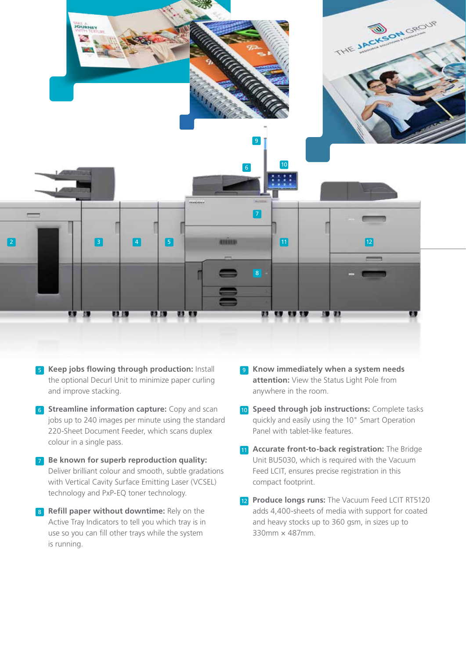

- **5** Keep jobs flowing through production: Install the optional Decurl Unit to minimize paper curling and improve stacking.
- **6** Streamline information capture: Copy and scan jobs up to 240 images per minute using the standard 220-Sheet Document Feeder, which scans duplex colour in a single pass.
- **F** Be known for superb reproduction quality: Deliver brilliant colour and smooth, subtle gradations with Vertical Cavity Surface Emitting Laser (VCSEL) technology and PxP-EQ toner technology.
- **8** Refill paper without downtime: Rely on the Active Tray Indicators to tell you which tray is in use so you can fill other trays while the system is running.
- 9 **Know immediately when a system needs attention:** View the Status Light Pole from anywhere in the room.
- **10 Speed through job instructions:** Complete tasks quickly and easily using the 10" Smart Operation Panel with tablet-like features.
- **11** Accurate front-to-back registration: The Bridge Unit BU5030, which is required with the Vacuum Feed LCIT, ensures precise registration in this compact footprint.
- 12 **Produce longs runs:** The Vacuum Feed LCIT RT5120 adds 4,400-sheets of media with support for coated and heavy stocks up to 360 gsm, in sizes up to 330mm × 487mm.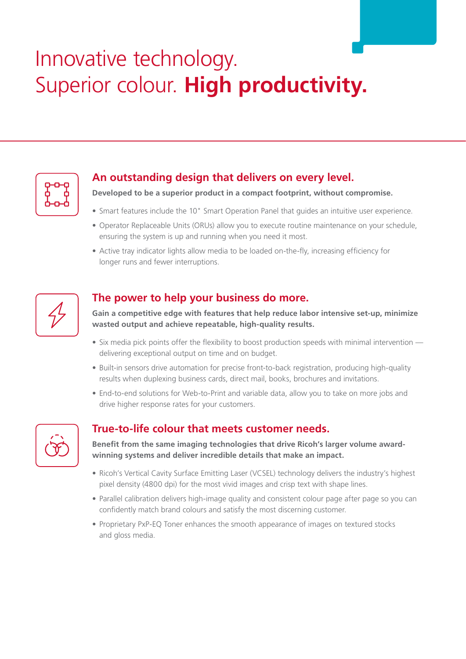# Innovative technology. Superior colour. **High productivity.**



#### **An outstanding design that delivers on every level.**

#### **Developed to be a superior product in a compact footprint, without compromise.**

- Smart features include the 10" Smart Operation Panel that guides an intuitive user experience.
- Operator Replaceable Units (ORUs) allow you to execute routine maintenance on your schedule, ensuring the system is up and running when you need it most.
- Active tray indicator lights allow media to be loaded on-the-fly, increasing efficiency for longer runs and fewer interruptions.



#### **The power to help your business do more.**

**Gain a competitive edge with features that help reduce labor intensive set-up, minimize wasted output and achieve repeatable, high-quality results.**

- Six media pick points offer the flexibility to boost production speeds with minimal intervention delivering exceptional output on time and on budget.
- Built-in sensors drive automation for precise front-to-back registration, producing high-quality results when duplexing business cards, direct mail, books, brochures and invitations.
- End-to-end solutions for Web-to-Print and variable data, allow you to take on more jobs and drive higher response rates for your customers.



#### **True-to-life colour that meets customer needs.**

**Benefit from the same imaging technologies that drive Ricoh's larger volume awardwinning systems and deliver incredible details that make an impact.**

- Ricoh's Vertical Cavity Surface Emitting Laser (VCSEL) technology delivers the industry's highest pixel density (4800 dpi) for the most vivid images and crisp text with shape lines.
- Parallel calibration delivers high-image quality and consistent colour page after page so you can confidently match brand colours and satisfy the most discerning customer.
- Proprietary PxP-EQ Toner enhances the smooth appearance of images on textured stocks and gloss media.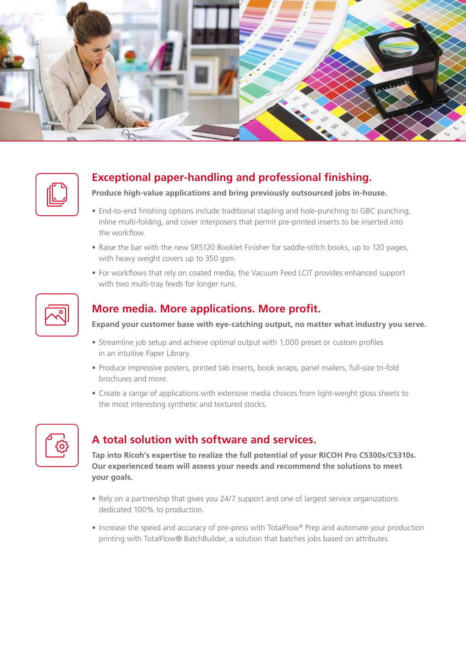

#### **Exceptional paper-handling and professional finishing.**

**Produce high-value applications and bring previously outsourced jobs in-house.**

- End-to-end finishing options include traditional stapling and hole-punching to GBC punching, inline multi-folding, and cover interposers that permit pre-printed inserts to be inserted into the workflow.
- Raise the bar with the new SR5120 Booklet Finisher for saddle-stitch books, up to 120 pages, with heavy weight covers up to 350 gsm.
- For workflows that rely on coated media, the Vacuum Feed LCIT provides enhanced support with two multi-tray feeds for longer runs.

#### **More media. More applications. More profit.**

**Expand your customer base with eye-catching output, no matter what industry you serve.**

- Streamline job setup and achieve optimal output with 1,000 preset or custom profiles in an intuitive Paper Library.
- Produce impressive posters, printed tab inserts, book wraps, panel mailers, full-size tri-fold brochures and more.
- Create a range of applications with extensive media choices from light-weight gloss sheets to the most interesting synthetic and textured stocks.



#### **A total solution with software and services.**

**Tap into Ricoh's expertise to realize the full potential of your RICOH Pro C5300s/C5310s. Our experienced team will assess your needs and recommend the solutions to meet your goals.**

- Rely on a partnership that gives you 24/7 support and one of largest service organizations dedicated 100% to production.
- Increase the speed and accuracy of pre-press with TotalFlow® Prep and automate your production printing with TotalFlow® BatchBuilder, a solution that batches jobs based on attributes.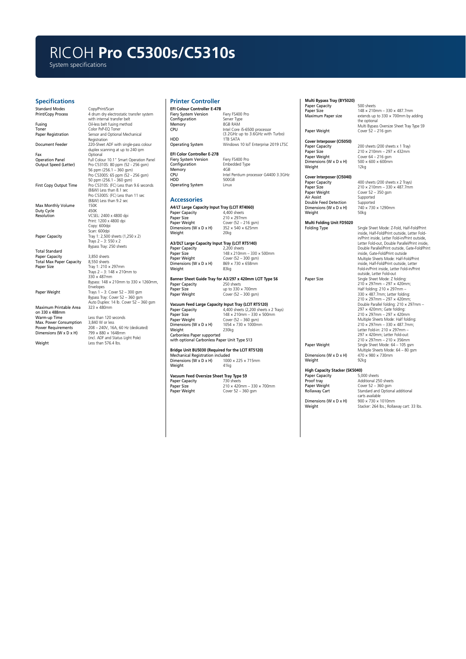### RICOH **Pro C5300s/C5310s**

System specifications

#### **Specifications**

| specifications                  |                                          |
|---------------------------------|------------------------------------------|
| <b>Standard Modes</b>           | Copy/Print/Scan                          |
| <b>Print/Copy Process</b>       | 4 drum dry electrostatic transfer system |
|                                 | with internal transfer belt              |
| Fusing                          | Oil-less belt fusing method              |
| Toner                           | Color PxP-EQ Toner                       |
| Paper Registration              | Sensor and Optional Mechanical           |
|                                 | Registration                             |
| <b>Document Feeder</b>          | 220-Sheet ADF with single-pass colour    |
|                                 | duplex scanning at up to 240 ipm         |
| Fax                             | Optional                                 |
| <b>Operation Panel</b>          | Full Colour 10.1" Smart Operation Panel  |
| Output Speed (Letter)           | Pro C5310S: 80 ppm (52 - 256 gsm)        |
|                                 | 56 ppm (256.1 - 360 gsm)                 |
|                                 | Pro C5300S: 65 ppm (52 - 256 gsm)        |
|                                 | 50 ppm (256.1 - 360 gsm)                 |
| First Copy Output Time          | Pro C5310S: (FC) Less than 9.6 seconds   |
|                                 | (B&W) Less than 8.1 sec                  |
|                                 | Pro C5300S: (FC) Less than 11 sec        |
|                                 | (B&W) Less than 9.2 sec                  |
| Max Monthly Volume              | 150K                                     |
| Duty Cycle                      | 450K                                     |
| Resolution                      | VCSEL: 2400 x 4800 dpi                   |
|                                 | Print: 1200 x 4800 dpi                   |
|                                 | Copy: 600dpi                             |
|                                 | Scan: 600dpi                             |
| Paper Capacity                  | Tray 1: 2,500 sheets (1,250 x 2)         |
|                                 | Trays $2 - 3:550 \times 2$               |
|                                 | Bypass Tray: 250 sheets                  |
| <b>Total Standard</b>           |                                          |
| Paper Capacity                  | 3.850 sheets                             |
| <b>Total Max Paper Capacity</b> | 8,550 sheets                             |
| Paper Size                      | Tray 1: 210 x 297mm                      |
|                                 | Trays $2 - 3$ : 148 $\times$ 210mm to    |
|                                 | 330 × 487mm                              |
|                                 | Bypass: 148 x 210mm to 330 x 1260mm,     |
|                                 | Envelopes                                |
| Paper Weight                    | Trays 1 - 3: Cover 52 - 300 gsm          |
|                                 | Bypass Tray: Cover 52 - 360 gsm          |
|                                 | Auto Duplex: 14 lb. Cover 52 - 360 gsm   |
| Maximum Printable Area          | $323 \times 480$ mm                      |
| on 330 x 488mm                  |                                          |
| Warm-up Time                    | Less than 120 seconds                    |
| Max. Power Consumption          | 3,840 W or less                          |
| <b>Power Requirements</b>       | 208 - 240V, 16A, 60 Hz (dedicated)       |
| Dimensions (W x D x H)          | 799 × 880 × 1648mm                       |
|                                 | (incl. ADF and Status Light Pole)        |
| Weight                          | Less than 576.4 lbs.                     |
|                                 |                                          |

#### **Printer Controller**

| <b>EFI Colour Controller E-47B</b>                                                                                                       | Fiery FS400 Pro                                                                                           |
|------------------------------------------------------------------------------------------------------------------------------------------|-----------------------------------------------------------------------------------------------------------|
| <b>Fiery System Version</b>                                                                                                              | Server Type                                                                                               |
| Configuration                                                                                                                            | 8GB RAM                                                                                                   |
| Memory                                                                                                                                   | Intel Core i5-6500 processor                                                                              |
| CPU                                                                                                                                      | (3.2GHz up to 3.6GHz with Turbo)                                                                          |
| HDD                                                                                                                                      | <b>1TR SATA</b>                                                                                           |
| <b>Operating System</b>                                                                                                                  | Windows 10 IoT Enterprise 2019 LTSC                                                                       |
| <b>EFI Color Controller E-27B</b><br>Fiery System Version<br>Configuration<br>Memory<br>CPU<br>HDD<br><b>Operating System</b><br>$A = 1$ | Fiery FS400 Pro<br>Embedded Type<br>4GB<br>Intel Pentium processor G4400 3.3GHz<br>500GB<br><b>l</b> inux |

#### **Accessories**

Paper Capacity<br>Paper Size<br>Paper Weight

| A4/LT Large Capacity Input Tray (LCIT RT4060)<br>Paper Capacity<br>Paper Size<br>Paper Weight<br>Dimensions (W x D x H)<br>Weight                                                                                     | 4.400 sheets<br>210 x 297mm<br>Cover (52 - 216 gsm)<br>$352 \times 540 \times 625$ mm<br>20kg                                                          |
|-----------------------------------------------------------------------------------------------------------------------------------------------------------------------------------------------------------------------|--------------------------------------------------------------------------------------------------------------------------------------------------------|
| A3/DLT Large Capacity Input Tray (LCIT RT5140)<br>Paper Capacity<br>Paper Size<br>Paper Weight<br>Dimensions (W x D x H)<br>Weight                                                                                    | 2.200 sheets<br>$148 \times 210$ mm $- 330 \times 500$ mm<br>Cover (52 - 300 gsm)<br>$869 \times 730 \times 658$ mm<br>83kg                            |
| Paper Capacity<br>Paper Size<br>Paper Weight                                                                                                                                                                          | Banner Sheet Guide Tray for A3/297 x 420mm LCIT Type S6<br>250 sheets<br>up to 330 x 700mm<br>Cover (52 - 300 gsm)                                     |
| Vacuum Feed Large Capacity Input Tray (LCIT RT5120)<br>Paper Capacity<br>Paper Size<br>Paper Weight<br>Dimensions (W x D x H)<br>Weight<br>Carbonless Paper supported<br>with optional Carbonless Paper Unit Type S13 | 4,400 sheets (2,200 sheets x 2 Trays)<br>$148 \times 210$ mm - 330 $\times$ 500mm<br>Cover (52 - 360 gsm)<br>$1054 \times 730 \times 1000$ mm<br>230kg |
| Bridge Unit BU5030 (Required for the LCIT RT5120)<br>Mechanical Registration included<br>Dimensions (W x D x H)<br>Weight                                                                                             | $1000 \times 225 \times 715$ mm<br>41kg                                                                                                                |
| Vacuum Feed Oversize Sheet Tray Type S9                                                                                                                                                                               |                                                                                                                                                        |

Paper Size 210 × 420mm – 330 × 700mm Paper Weight Cover 52 – 360 gsm

**Cover Interposer (CI5050)** Paper Capacity 200 sheets (200 sheets x 1 Tray) Paper Size 210 × 210mm – 297 × 432mm Paper Weight Cover 64 – 216 gsm<br>Dimensions (W x D x H) 500 × 600 × 600mm Weight 12kg **Cover Interposer (CI5040)**<br>Paper Capacity<br>Paper Veight<br>Paper Weight Air Assist Supported Double Feed Detection Supported Dimensions (W x D x H) 740 × 730 × 1290mm Weight 50kg Paper Size Paper Weight Dimensions (W x

**Multi Bypass Tray (BY5020)** Paper Capacity 500 sheets Paper Size 148 × 210mm – 330 × 487.7mm Maximum Paper size extends up to 330 × 700mm by adding<br>the optional<br>Multi Bypass Oversize Sheet Tray Type SS Paper Weight Cover 52 – 216 gsm

Paper Capacity 400 sheets (200 sheets x 2 Trays) Paper Size 210 × 210mm – 330 × 487.7mm Paper Weight Cover 52 – 350 gsm

| Multi Folding Unit FD5020                                                |                                                                                                                                                                                                                                                                                                                                                                                                                                                                                                            |
|--------------------------------------------------------------------------|------------------------------------------------------------------------------------------------------------------------------------------------------------------------------------------------------------------------------------------------------------------------------------------------------------------------------------------------------------------------------------------------------------------------------------------------------------------------------------------------------------|
| <b>Folding Type</b>                                                      | Single Sheet Mode: Z-Fold, Half-Fold/Print<br>inside. Half-Fold/Print outside. Letter Fold-<br>in/Print inside, Letter Fold-in/Print outside,<br>Letter Fold-out. Double Parallel/Print inside.<br>Double Parallel/Print outside, Gate-Fold/Print<br>inside. Gate-Fold/Print outside<br>Multiple Sheets Mode: Half-Fold/Print<br>inside. Half-Fold/Print outside. Letter<br>Fold-in/Print inside, Letter Fold-in/Print<br>outside. Letter Fold-out                                                         |
| Paper Size                                                               | Single Sheet Mode: Z folding:<br>$210 \times 297$ mm - 297 $\times$ 420mm;<br>Half folding: $210 \times 297$ mm -<br>330 × 487.7mm; Letter folding:<br>$210 \times 297$ mm - 297 $\times$ 420mm:<br>Double Parallel folding: 210 x 297mm -<br>297 x 420mm; Gate folding:<br>210 x 297mm - 297 x 420mm<br>Multiple Sheets Mode: Half folding:<br>$210 \times 297$ mm - 330 $\times$ 487.7mm:<br>Letter Fold-in: 210 x 297mm -<br>297 x 420mm: Letter Fold-out:<br>$210 \times 297$ mm $- 210 \times 356$ mm |
| Paper Weight                                                             | Single Sheet Mode: 64 - 105 gsm<br>Multiple Sheets Mode: 64 - 80 gsm                                                                                                                                                                                                                                                                                                                                                                                                                                       |
| Dimensions (W x D x H)<br>Weight                                         | $470 \times 980 \times 730$ mm<br>92kg                                                                                                                                                                                                                                                                                                                                                                                                                                                                     |
| <b>High Capacity Stacker (SK5040)</b><br>Paper Capacity<br>$\sim$ $\sim$ | 5.000 sheets<br>A FINE THEAT THE                                                                                                                                                                                                                                                                                                                                                                                                                                                                           |

Proof tray Additional 250 sheets Paper Weight Cover 52 – 360 gsm Rollaway Cart Standard and Optional additional carts available Dimensions (W x D x H)<br>Weight Weight Stacker: 264 lbs.; Rollaway cart: 33 lbs.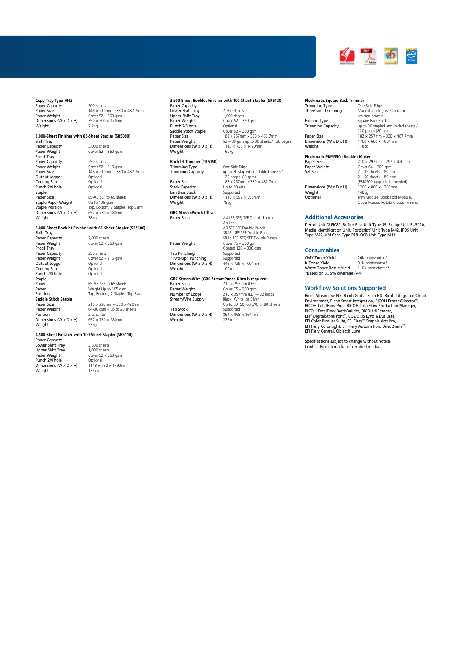

assisted process<br>Square Back Fold

#### **Copy Tray Type M42**

Paper Capacity 500 sheets

Paper Size  $148 \times 210$ mm – 330 x 487.7mm<br>
Paper Size 148 × 210mm – 330 x 487.7mm<br>
Dimensions (W x D x H) 350 x 500 x 170mm<br>
Weight 1350 x 500 x 170mm Paper Weight Cover 52 – 360 gsm Dimensions (W x D x H) 350 × 500 × 170mm Weight 2.2kg

#### **3,000-Sheet Finisher with 65-Sheet Stapler (SR5090)**

Shift Tray Paper Capacity 3,000 sheets Proof Tray Paper Capacity 250 sheets Output Jogger **Optional**<br>
Cooling Fan **Optional** Cooling Fan Optional Punch 2/4 hole Optional Staple<br>Paper Size Staple Paper Weight<br>Staple Position  $D$ imensions (W x D x H) 657 ×<br>Weight 38kg

3,000 sheets<br>Cover 52 – 360 gsm Paper Weight Cover 52 – 216 gsm Paper Size 148 × 210mm – 330 × 487.7mm B5-A3 SEF to 65 sheets

State Position Streets<br>
Up to 105 gsm<br>
Top, Bottom, 2 Staples, Top Slant<br>
657 x 730 x 980mm

#### **2,000-Sheet Booklet Finisher with 65-Sheet Stapler (SR5100)**

Shift Tray Paper Capacity 2,000 sheets Paper Weight Cover 52 – 360 gsm Proof Tray Paper Capacity 250 sheets Output Jogger Optional Cooling Fan Optional Punch 2/4 hole Optional Staple **Saddle Stitch Staple** Weight 53kg

**Weight** 

Paper Veight Cover 52 – 216 gsm<br>
Paper Weight Cover 52 – 216 gsm<br>
Output Jogger Diptional Stapie<br>Paper B5-A3 SEF to 65 sheets<br>Paper Baper Weight Up to 105 gsm Paper Weight Up to 105 gsm<br>
Position Top, Bottom, 2 Staples, Position Corp to Summings Top, Bottom, 2 Staples, Top Slant

 $64-80$  gsm – up to 20 sheets Position 2 at center Dimensions (W x D x H) 657 × 730 × 980mm

Paper Capacity Lower Shift Tray 3,500 sheets Upper Shift Tray 1,000 sheets Paper Weight<br>Punch 2/4 hole<br>Dimensions (W x D x H) Weight

Paper Size 210 × 297mm – 330 × 420mm

#### **4,500-Sheet Finisher with 100-Sheet Stapler (SR5110)**

Cover  $52 - 360$  gsm Optional<br>1113 × 730 × 1490mm<br>135kg

#### **3,500-Sheet Booklet Finisher with 100-Sheet Stapler (SR5120)**

Paper Capacity Lower Shift Tray 2,500 sheets Upper Shift Tray 1,000 sheets  $P<sub>1</sub>,000$  sheed<br>Cover 52 – 360 gsm<br>Optional Paper Weight<br>Punch 2/3 hole<br>Saddle Stitch Staple Saddle Stitch Staple Cover 52 – 350 gsm Paper Size 182 x 257mm x 330 × 487.7mm Paper Weight 52 – 80 gsm up to 30 sheets / 120 pages Dimensions (W x D x H)  $1113 \times 730 \times 1490$ mm<br>Weight  $160 \text{kg}$ Weight 160kg **Booklet Trimmer (TR5050) BOOKIEL THIMMET (1)**<br>Trimming Type<br>Trimming Capacity T**rimming Capacity** up to 30 stapled and folded sheets *i*<br>120 pages (80 gsm)<br>Paper Size 182 x 257mm x 330 x 487.7mm Stack Capacity Up to 60 sets Limitless Stack Supported Dimensions (W x D x H)  $1115 \times 592 \times 556$ mm Weight 75kg **GBC StreamPunch Ultra** A5 LEF Paper Weight Cover 75 – 300 gsm Coated 120 – 300 gsm Tab Punching **Supported** 

A4 LEF, SEF, SEF Double Punch A3 SEF SEF Double Punch SRA3 SEF SEF Double Punc SRA4 LEF, SEF, SEF Double Punch

#### Paper Sizes 210 × 297mm (LEF) Paper Weight Cover 75 – 300 gsm Number of Loops<br>
Number of Loops<br>
210 × 297mm (LEF) – 32 loops<br>
210 × 297mm (LEF) – 32 loops<br>
210 × 207mm (LEF) – 32 loops StreamWire Supply Black, White, or Silver Up to 30, 50, 60 ,70, or 80 Sheets

Tab Stock Supported Dimensions (W x D x H) 864 × 965 × 864mm Weight 227kg

"Two-Up" Punching Supported Dimensions (W x D x H) 445 × 729 × 1001mm **Provide Supported<br>
Two-Up" Punching** Supported<br>
Dimensions (W x D x H)  $445 \times 729 \times 1001$ mm<br>
Weight 100kg **GBC StreamWire (GBC StreamPunch Ultra is required)**

#### **Plockmatic Square Back Trimmer** .......<br>One Side Edge<br>Manual feeding via Operator

Trimming Type<br>Three side Trimming Folding Type<br>Trimming Capacity

120 pages (80 gsm) Paper Size 182 × 257mm – 330 × 487.7mm Paper Size<br>
Dimensions (W x D x H)  $1760 \times$ <br>
Weight  $178kq$ Weight

**Plockmatic PBM350e Booklet Maker**<br> **Paper Size** 210 × 2<br> **Paper Weight** Cover 6 Set Size 2 – 35 sheets – 80 gsm 2 – 50 sheets – 80 gsm Dimensions (W  $\times$  D  $\times$  H) Dimension<br>
148 Meight<br>
149 Optional

Paper Size 210 × 297mm – 297 × 420mm  $\frac{25}{20}$  Cover  $64 - 300$  gsm

Square Back Fold<br>up to 30 stapled and folded sheets /

 $(PBM500$  upgrade kit needed)<br>1200  $\times$  800  $\times$  1300mm Trim Module, Book Fold Module,

Cover Feeder, Rotate Crease Trimmer

#### **Additional Accessories**

Decurl Unit DU5080, Buffer Pass Unit Type S9, Bridge Unit BU5020, Media Identification Unit, PostScript<sup>3</sup> Unit Type M42, IPDS Unit<br>Type M42, VM Card Type P18, OCR Unit Type M13

#### **Consumables**

CMY Toner Yield 26K prints/bottle<sup>\*</sup><br>K Toner Yield 31K prints/bottle\* 31K prints/bottle\*<br>110K prints/bottle\* Waste Toner Bottle Yield 110K prints/bottle\* \*Based on 8.75% coverage (A4)

#### **Workflow Solutions Supported**

Ricoh Streamline NX, Ricoh Global Scan NX, Ricoh Integrated Cloud Environment, Ricoh Smart Integration, RICOH ProcessDirector™, RICOH TotalFlow Prep, RICOH TotalFlow Production Manager, RICOH TotalFlow BatchBuilder, RICOH @Remote,<br>EFI® DigitalStoreFront™, CGS/ORIS Lynx & Evaluate,<br>EFI Color Profiler Suite, EFI Fiery™ Graphic Arts Pro, EFI Fiery ColorRight, EFI Fiery Automation, DirectSmile™, EFI Fiery Central, Objectif Lune

Specifications subject to change without notice. Contact Ricoh for a list of certified media.